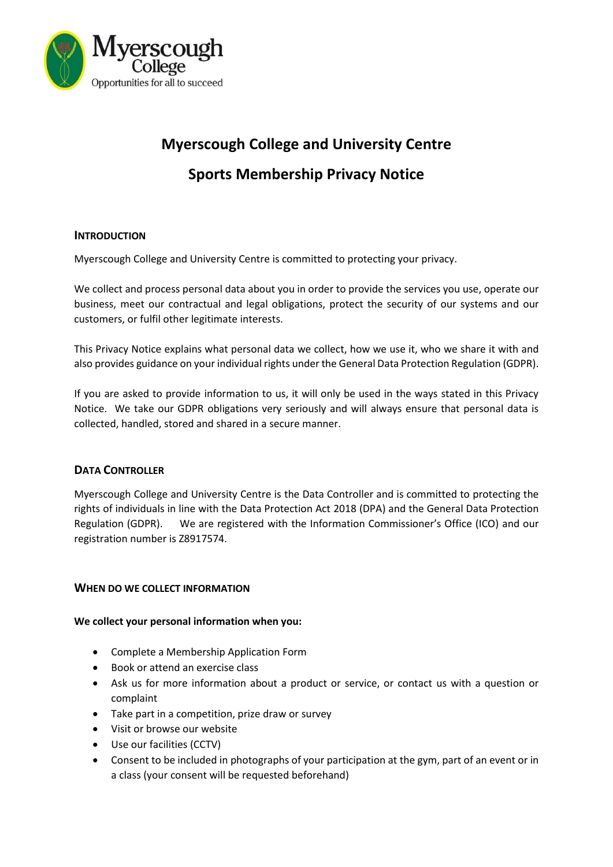

# **Myerscough College and University Centre Sports Membership Privacy Notice**

# **INTRODUCTION**

Myerscough College and University Centre is committed to protecting your privacy.

We collect and process personal data about you in order to provide the services you use, operate our business, meet our contractual and legal obligations, protect the security of our systems and our customers, or fulfil other legitimate interests.

This Privacy Notice explains what personal data we collect, how we use it, who we share it with and also provides guidance on your individual rights under the General Data Protection Regulation (GDPR).

If you are asked to provide information to us, it will only be used in the ways stated in this Privacy Notice. We take our GDPR obligations very seriously and will always ensure that personal data is collected, handled, stored and shared in a secure manner.

# **DATA CONTROLLER**

Myerscough College and University Centre is the Data Controller and is committed to protecting the rights of individuals in line with the Data Protection Act 2018 (DPA) and the General Data Protection Regulation (GDPR). We are registered with the Information Commissioner's Office (ICO) and our registration number is Z8917574.

# **WHEN DO WE COLLECT INFORMATION**

#### **We collect your personal information when you:**

- Complete a Membership Application Form
- Book or attend an exercise class
- Ask us for more information about a product or service, or contact us with a question or complaint
- Take part in a competition, prize draw or survey
- Visit or browse our website
- Use our facilities (CCTV)
- Consent to be included in photographs of your participation at the gym, part of an event or in a class (your consent will be requested beforehand)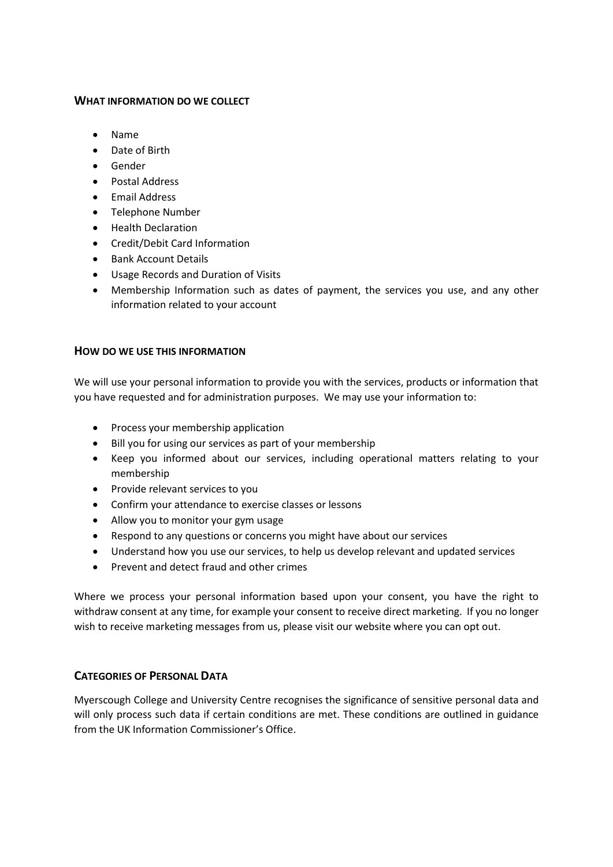## **WHAT INFORMATION DO WE COLLECT**

- Name
- Date of Birth
- Gender
- Postal Address
- Email Address
- Telephone Number
- Health Declaration
- Credit/Debit Card Information
- **•** Bank Account Details
- Usage Records and Duration of Visits
- Membership Information such as dates of payment, the services you use, and any other information related to your account

# **HOW DO WE USE THIS INFORMATION**

We will use your personal information to provide you with the services, products or information that you have requested and for administration purposes. We may use your information to:

- Process your membership application
- Bill you for using our services as part of your membership
- Keep you informed about our services, including operational matters relating to your membership
- Provide relevant services to you
- Confirm your attendance to exercise classes or lessons
- Allow you to monitor your gym usage
- Respond to any questions or concerns you might have about our services
- Understand how you use our services, to help us develop relevant and updated services
- Prevent and detect fraud and other crimes

Where we process your personal information based upon your consent, you have the right to withdraw consent at any time, for example your consent to receive direct marketing. If you no longer wish to receive marketing messages from us, please visit our website where you can opt out.

# **CATEGORIES OF PERSONAL DATA**

Myerscough College and University Centre recognises the significance of sensitive personal data and will only process such data if certain conditions are met. These conditions are outlined in guidance from the UK Information Commissioner's Office.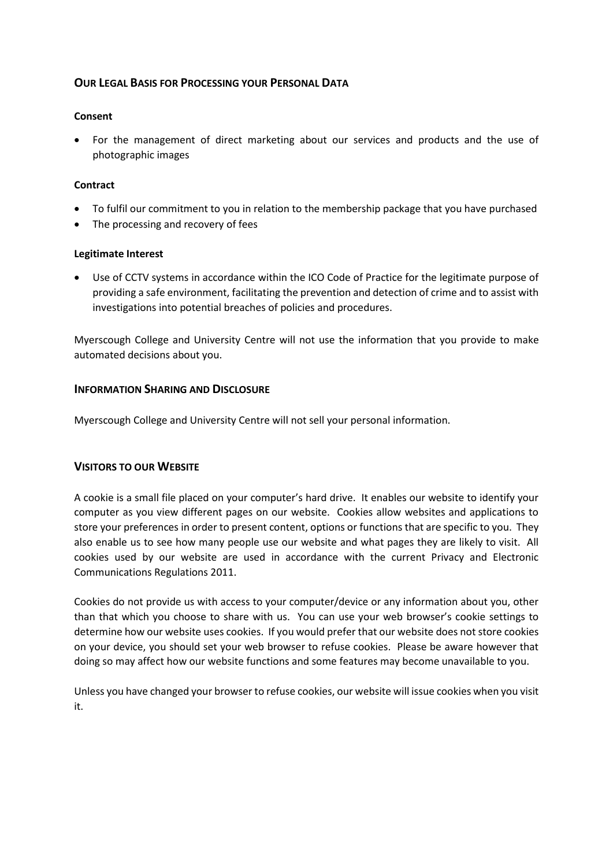# **OUR LEGAL BASIS FOR PROCESSING YOUR PERSONAL DATA**

## **Consent**

 For the management of direct marketing about our services and products and the use of photographic images

## **Contract**

- To fulfil our commitment to you in relation to the membership package that you have purchased
- The processing and recovery of fees

#### **Legitimate Interest**

 Use of CCTV systems in accordance within the ICO Code of Practice for the legitimate purpose of providing a safe environment, facilitating the prevention and detection of crime and to assist with investigations into potential breaches of policies and procedures.

Myerscough College and University Centre will not use the information that you provide to make automated decisions about you.

## **INFORMATION SHARING AND DISCLOSURE**

Myerscough College and University Centre will not sell your personal information.

# **VISITORS TO OUR WEBSITE**

A cookie is a small file placed on your computer's hard drive. It enables our website to identify your computer as you view different pages on our website. Cookies allow websites and applications to store your preferences in order to present content, options or functions that are specific to you. They also enable us to see how many people use our website and what pages they are likely to visit. All cookies used by our website are used in accordance with the current Privacy and Electronic Communications Regulations 2011.

Cookies do not provide us with access to your computer/device or any information about you, other than that which you choose to share with us. You can use your web browser's cookie settings to determine how our website uses cookies. If you would prefer that our website does not store cookies on your device, you should set your web browser to refuse cookies. Please be aware however that doing so may affect how our website functions and some features may become unavailable to you.

Unless you have changed your browser to refuse cookies, our website will issue cookies when you visit it.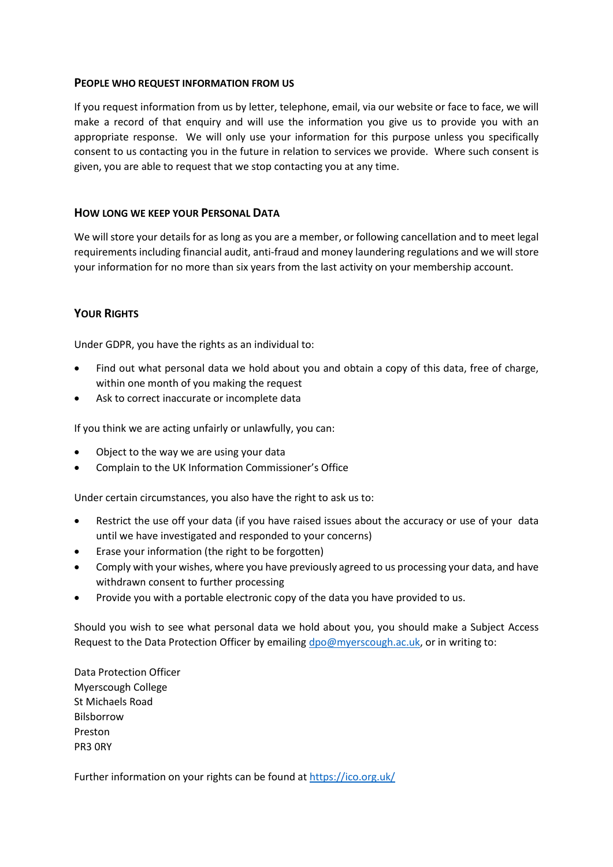## **PEOPLE WHO REQUEST INFORMATION FROM US**

If you request information from us by letter, telephone, email, via our website or face to face, we will make a record of that enquiry and will use the information you give us to provide you with an appropriate response. We will only use your information for this purpose unless you specifically consent to us contacting you in the future in relation to services we provide. Where such consent is given, you are able to request that we stop contacting you at any time.

## **HOW LONG WE KEEP YOUR PERSONAL DATA**

We will store your details for as long as you are a member, or following cancellation and to meet legal requirements including financial audit, anti-fraud and money laundering regulations and we will store your information for no more than six years from the last activity on your membership account.

# **YOUR RIGHTS**

Under GDPR, you have the rights as an individual to:

- Find out what personal data we hold about you and obtain a copy of this data, free of charge, within one month of you making the request
- Ask to correct inaccurate or incomplete data

If you think we are acting unfairly or unlawfully, you can:

- Object to the way we are using your data
- Complain to the [UK Information Commissioner's Office](https://ico.org.uk/)

Under certain circumstances, you also have the right to ask us to:

- Restrict the use off your data (if you have raised issues about the accuracy or use of your data until we have investigated and responded to your concerns)
- Erase your information (the right to be forgotten)
- Comply with your wishes, where you have previously agreed to us processing your data, and have withdrawn consent to further processing
- Provide you with a portable electronic copy of the data you have provided to us.

Should you wish to see what personal data we hold about you, you should make a Subject Access Request to the Data Protection Officer by emailing [dpo@myerscough.ac.uk,](mailto:dpo@myerscough.ac.uk) or in writing to:

Data Protection Officer Myerscough College St Michaels Road Bilsborrow Preston PR3 0RY

Further information on your rights can be found a[t https://ico.org.uk/](https://ico.org.uk/)